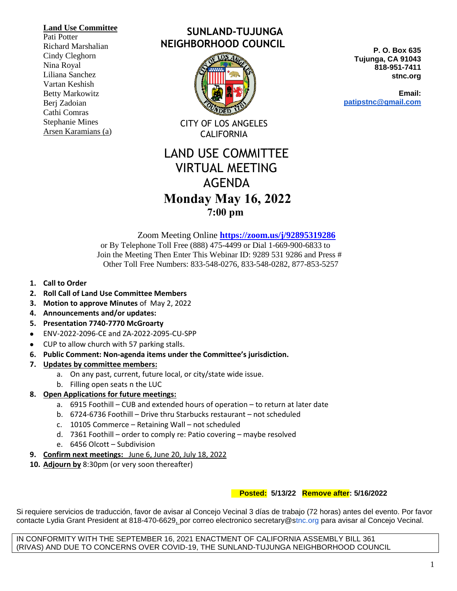#### **Land Use Committee**

Pati Potter Richard Marshalian Cindy Cleghorn Nina Royal Liliana Sanchez Vartan Keshish Betty Markowitz Berj Zadoian Cathi Comras Stephanie Mines Arsen Karamians (a)

# **SUNLAND-TUJUNGA NEIGHBORHOOD COUNCIL**



CITY OF LOS ANGELES CALIFORNIA

# LAND USE COMMITTEE VIRTUAL MEETING AGENDA  **Monday May 16, 2022 7:00 pm**

 Zoom Meeting Online **<https://zoom.us/j/92895319286>** or By Telephone Toll Free (888) 475-4499 or Dial 1-669-900-6833 to Join the Meeting Then Enter This Webinar ID: 9289 531 9286 and Press # Other Toll Free Numbers: 833-548-0276, 833-548-0282, 877-853-5257

- **1. Call to Order**
- **2. Roll Call of Land Use Committee Members**
- **3. Motion to approve Minutes** of May 2, 2022
- **4. Announcements and/or updates:**
- **5. Presentation 7740-7770 McGroarty**
- ENV-2022-2096-CE and ZA-2022-2095-CU-SPP
- CUP to allow church with 57 parking stalls.
- **6. Public Comment: Non-agenda items under the Committee's jurisdiction.**
- **7. Updates by committee members:**
	- a. On any past, current, future local, or city/state wide issue.
	- b. Filling open seats n the LUC
- **8. Open Applications for future meetings:**
	- a. 6915 Foothill CUB and extended hours of operation to return at later date
	- b. 6724-6736 Foothill Drive thru Starbucks restaurant not scheduled
	- c. 10105 Commerce Retaining Wall not scheduled
	- d. 7361 Foothill order to comply re: Patio covering maybe resolved
	- e. 6456 Olcott Subdivision
- **9. Confirm next meetings:** June 6, June 20, July 18, 2022
- **10. Adjourn by** 8:30pm (or very soon thereafter)

# **Posted: 5/13/22 Remove after: 5/16/2022**

Si requiere servicios de traducción, favor de avisar al Concejo Vecinal 3 días de trabajo (72 horas) antes del evento. Por favor contacte Lydia Grant President at 818-470-6629, por correo electronico secretary@stnc.org para avisar al Concejo Vecinal.

IN CONFORMITY WITH THE SEPTEMBER 16, 2021 ENACTMENT OF CALIFORNIA ASSEMBLY BILL 361 (RIVAS) AND DUE TO CONCERNS OVER COVID-19, THE SUNLAND-TUJUNGA NEIGHBORHOOD COUNCIL

**P. O. Box 635 Tujunga, CA 91043 818-951-7411 stnc.org**

**Email: patipstnc@gmail.com**